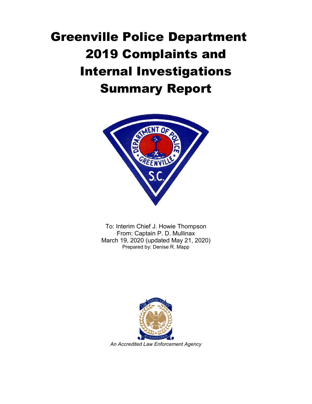# Greenville Police Department 2019 Complaints and Internal Investigations Summary Report



To: Interim Chief J. Howie Thompson From: Captain P. D. Mullinax March 19, 2020 (updated May 21, 2020) Prepared by: Denise R. Mapp

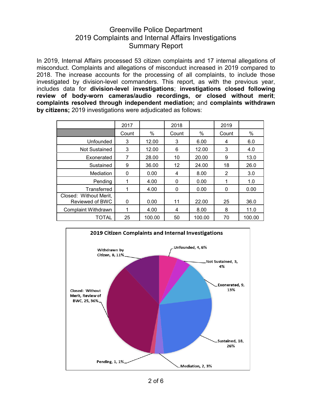### Greenville Police Department 2019 Complaints and Internal Affairs Investigations Summary Report

In 2019, Internal Affairs processed 53 citizen complaints and 17 internal allegations of misconduct. Complaints and allegations of misconduct increased in 2019 compared to 2018. The increase accounts for the processing of all complaints, to include those investigated by division-level commanders. This report, as with the previous year, includes data for **division-level investigations**; **investigations closed following review of body-worn cameras/audio recordings, or closed without merit**; **complaints resolved through independent mediation;** and **complaints withdrawn by citizens;** 2019 investigations were adjudicated as follows:

|                                           | 2017  |        | 2018     |        | 2019     |        |
|-------------------------------------------|-------|--------|----------|--------|----------|--------|
|                                           | Count | %      | Count    | %      | Count    | %      |
| Unfounded                                 | 3     | 12.00  | 3        | 6.00   | 4        | 6.0    |
| Not Sustained                             | 3     | 12.00  | 6        | 12.00  | 3        | 4.0    |
| Exonerated                                | 7     | 28.00  | 10       | 20.00  | 9        | 13.0   |
| Sustained                                 | 9     | 36.00  | 12       | 24.00  | 18       | 26.0   |
| Mediation                                 | 0     | 0.00   | 4        | 8.00   | 2        | 3.0    |
| Pending                                   |       | 4.00   | 0        | 0.00   |          | 1.0    |
| Transferred                               | 1     | 4.00   | $\Omega$ | 0.00   | $\Omega$ | 0.00   |
| Closed: Without Merit,<br>Reviewed of BWC | 0     | 0.00   | 11       | 22.00  | 25       | 36.0   |
| <b>Complaint Withdrawn</b>                | 1     | 4.00   | 4        | 8.00   | 8        | 11.0   |
| TOTAL                                     | 25    | 100.00 | 50       | 100.00 | 70       | 100.00 |

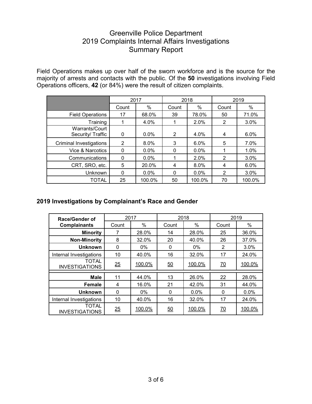## Greenville Police Department 2019 Complaints Internal Affairs Investigations Summary Report

Field Operations makes up over half of the sworn workforce and is the source for the majority of arrests and contacts with the public. Of the **50** investigations involving Field Operations officers, **42** (or 84%) were the result of citizen complaints.

|                                     | 2017           |         | 2018           |         | 2019           |        |
|-------------------------------------|----------------|---------|----------------|---------|----------------|--------|
|                                     | Count          | %       | Count          | %       | Count          | %      |
| <b>Field Operations</b>             | 17             | 68.0%   | 39             | 78.0%   | 50             | 71.0%  |
| Training                            |                | 4.0%    |                | 2.0%    | 2              | 3.0%   |
| Warrants/Court<br>Security/ Traffic | 0              | $0.0\%$ | $\overline{2}$ | 4.0%    | 4              | 6.0%   |
| <b>Criminal Investigations</b>      | $\overline{2}$ | 8.0%    | 3              | 6.0%    | 5              | 7.0%   |
| Vice & Narcotics                    | 0              | $0.0\%$ | 0              | $0.0\%$ |                | 1.0%   |
| Communications                      | 0              | $0.0\%$ |                | 2.0%    | 2              | 3.0%   |
| CRT, SRO, etc.                      | 5              | 20.0%   | 4              | 8.0%    | 4              | 6.0%   |
| Unknown                             | $\Omega$       | $0.0\%$ | 0              | $0.0\%$ | $\overline{2}$ | 3.0%   |
| TOTAL                               | 25             | 100.0%  | 50             | 100.0%  | 70             | 100.0% |

#### **2019 Investigations by Complainant's Race and Gender**

| <b>Race/Gender of</b>                 | 2017             |        | 2018             |         | 2019             |        |
|---------------------------------------|------------------|--------|------------------|---------|------------------|--------|
| <b>Complainants</b>                   | Count            | %      | Count            | %       | Count            | %      |
| <b>Minority</b>                       | 7                | 28.0%  | 14               | 28.0%   | 25               | 36.0%  |
| <b>Non-Minority</b>                   | 8                | 32.0%  | 20               | 40.0%   | 26               | 37.0%  |
| <b>Unknown</b>                        | $\mathbf{0}$     | $0\%$  | 0                | $0\%$   | 2                | 3.0%   |
| Internal Investigations               | 10               | 40.0%  | 16               | 32.0%   | 17               | 24.0%  |
| <b>TOTAL</b><br><b>INVESTIGATIONS</b> | $\underline{25}$ | 100.0% | $\underline{50}$ | 100.0%  | $\underline{70}$ | 100.0% |
| <b>Male</b>                           | 11               | 44.0%  | 13               | 26.0%   | 22               | 28.0%  |
| Female                                | 4                | 16.0%  | 21               | 42.0%   | 31               | 44.0%  |
| <b>Unknown</b>                        | 0                | $0\%$  | $\mathbf 0$      | $0.0\%$ | 0                | 0.0%   |
| Internal Investigations               | 10               | 40.0%  | 16               | 32.0%   | 17               | 24.0%  |
| <b>TOTAL</b><br><b>INVESTIGATIONS</b> | $\frac{25}{5}$   | 100.0% | $\underline{50}$ | 100.0%  | $\underline{70}$ | 100.0% |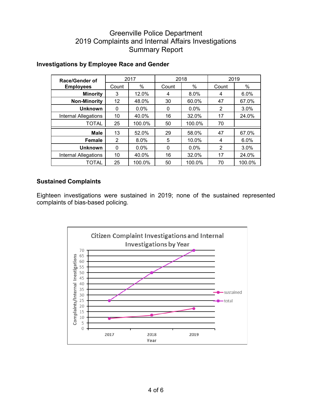## Greenville Police Department 2019 Complaints and Internal Affairs Investigations Summary Report

| Race/Gender of<br><b>Employees</b> | 2017  |         | 2018  |         | 2019  |        |
|------------------------------------|-------|---------|-------|---------|-------|--------|
|                                    | Count | %       | Count | %       | Count | $\%$   |
| <b>Minority</b>                    | 3     | 12.0%   | 4     | 8.0%    | 4     | 6.0%   |
| <b>Non-Minority</b>                | 12    | 48.0%   | 30    | 60.0%   | 47    | 67.0%  |
| <b>Unknown</b>                     | 0     | $0.0\%$ | 0     | $0.0\%$ | 2     | 3.0%   |
| <b>Internal Allegations</b>        | 10    | 40.0%   | 16    | 32.0%   | 17    | 24.0%  |
| <b>TOTAL</b>                       | 25    | 100.0%  | 50    | 100.0%  | 70    |        |
| <b>Male</b>                        | 13    | 52.0%   | 29    | 58.0%   | 47    | 67.0%  |
| Female                             | 2     | 8.0%    | 5     | 10.0%   | 4     | 6.0%   |
| <b>Unknown</b>                     | 0     | $0.0\%$ | 0     | $0.0\%$ | 2     | 3.0%   |
| <b>Internal Allegations</b>        | 10    | 40.0%   | 16    | 32.0%   | 17    | 24.0%  |
| <b>TOTAL</b>                       | 25    | 100.0%  | 50    | 100.0%  | 70    | 100.0% |

#### **Investigations by Employee Race and Gender**

#### **Sustained Complaints**

Eighteen investigations were sustained in 2019; none of the sustained represented complaints of bias-based policing.

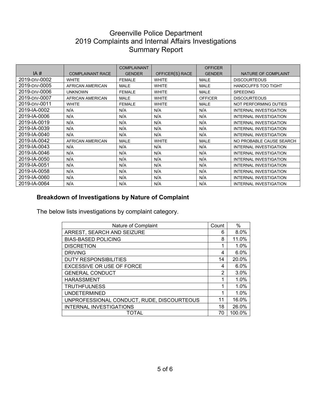## Greenville Police Department 2019 Complaints and Internal Affairs Investigations Summary Report

|               |                         | <b>COMPLAINANT</b> |                 | <b>OFFICER</b> |                               |
|---------------|-------------------------|--------------------|-----------------|----------------|-------------------------------|
| IA#           | <b>COMPLAINANT RACE</b> | <b>GENDER</b>      | OFFICER(S) RACE | <b>GENDER</b>  | NATURE OF COMPLAINT           |
| 2019-DIV-0002 | <b>WHITE</b>            | <b>FEMALE</b>      | <b>WHITE</b>    | <b>MALE</b>    | <b>DISCOURTEOUS</b>           |
| 2019-DIV-0005 | AFRICAN AMERICAN        | <b>MALE</b>        | <b>WHITE</b>    | <b>MALE</b>    | <b>HANDCUFFS TOO TIGHT</b>    |
| 2019-DIV-0006 | <b>UNKNOWN</b>          | <b>FEMALE</b>      | <b>WHITE</b>    | <b>MALE</b>    | <b>SPEEDING</b>               |
| 2019-DIV-0007 | AFRICAN AMERICAN        | <b>MALE</b>        | <b>WHITE</b>    | <b>OFFICER</b> | <b>DISCOURTEOUS</b>           |
| 2019-DIV-0011 | <b>WHITE</b>            | <b>FEMALE</b>      | <b>WHITE</b>    | <b>MALE</b>    | NOT PERFORMING DUTIES         |
| 2019-IA-0002  | N/A                     | N/A                | N/A             | N/A            | <b>INTERNAL INVESTIGATION</b> |
| 2019-IA-0006  | N/A                     | N/A                | N/A             | N/A            | <b>INTERNAL INVESTIGATION</b> |
| 2019-IA-0019  | N/A                     | N/A                | N/A             | N/A            | <b>INTERNAL INVESTIGATION</b> |
| 2019-IA-0039  | N/A                     | N/A                | N/A             | N/A            | <b>INTERNAL INVESTIGATION</b> |
| 2019-IA-0040  | N/A                     | N/A                | N/A             | N/A            | <b>INTERNAL INVESTIGATION</b> |
| 2019-IA-0042  | AFRICAN AMERICAN        | <b>MALE</b>        | <b>WHITE</b>    | <b>MALE</b>    | NO PROBABLE CAUSE SEARCH      |
| 2019-IA-0043  | N/A                     | N/A                | N/A             | N/A            | <b>INTERNAL INVESTIGATION</b> |
| 2019-IA-0046  | N/A                     | N/A                | N/A             | N/A            | <b>INTERNAL INVESTIGATION</b> |
| 2019-IA-0050  | N/A                     | N/A                | N/A             | N/A            | <b>INTERNAL INVESTIGATION</b> |
| 2019-IA-0051  | N/A                     | N/A                | N/A             | N/A            | <b>INTERNAL INVESTIGATION</b> |
| 2019-IA-0058  | N/A                     | N/A                | N/A             | N/A            | <b>INTERNAL INVESTIGATION</b> |
| 2019-IA-0060  | N/A                     | N/A                | N/A             | N/A            | <b>INTERNAL INVESTIGATION</b> |
| 2019-IA-0064  | N/A                     | N/A                | N/A             | N/A            | INTERNAL INVESTIGATION        |

## **Breakdown of Investigations by Nature of Complaint**

The below lists investigations by complaint category.

| Nature of Complaint                        | Count | $\%$   |
|--------------------------------------------|-------|--------|
| ARREST, SEARCH AND SEIZURE                 | 6     | 8.0%   |
| <b>BIAS-BASED POLICING</b>                 | 8     | 11.0%  |
| <b>DISCRETION</b>                          | 1     | 1.0%   |
| <b>DRIVING</b>                             | 4     | 6.0%   |
| <b>DUTY RESPONSIBILITIES</b>               | 14    | 20.0%  |
| <b>EXCESSIVE OR USE OF FORCE</b>           | 4     | 6.0%   |
| <b>GENERAL CONDUCT</b>                     | 2     | 3.0%   |
| <b>HARASSMENT</b>                          | 1     | 1.0%   |
| <b>TRUTHFULNESS</b>                        | 1     | 1.0%   |
| <b>UNDETERMINED</b>                        | 1     | 1.0%   |
| UNPROFESSIONAL CONDUCT, RUDE, DISCOURTEOUS | 11    | 16.0%  |
| <b>INTERNAL INVESTIGATIONS</b>             | 18    | 26.0%  |
| TOTAL                                      | 70    | 100.0% |